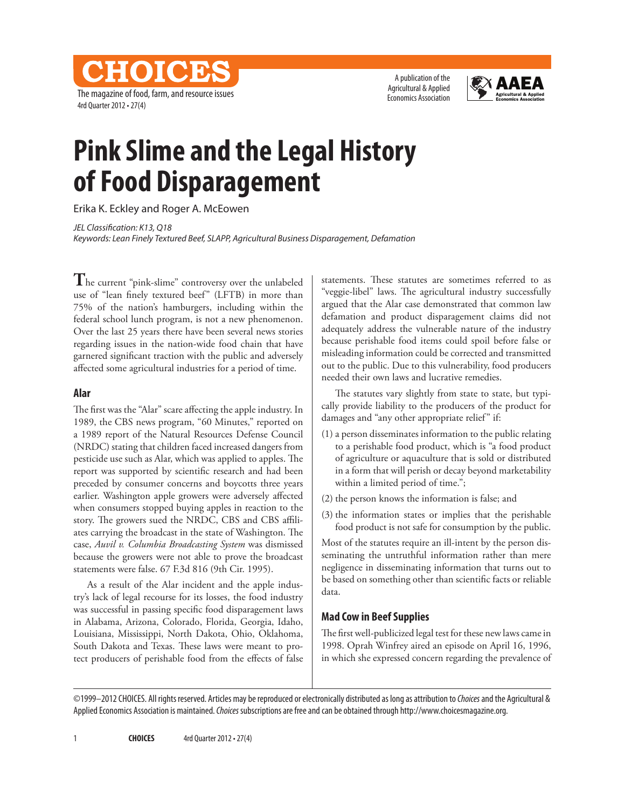CHOICES The magazine of food, farm, and resource issues 4rd Quarter 2012 • 27(4)

A publication of the Agricultural & Applied Economics Association



# **Pink Slime and the Legal History of Food Disparagement**

Erika K. Eckley and Roger A. McEowen

*JEL Classification: K13, Q18 Keywords: Lean Finely Textured Beef, SLAPP, Agricultural Business Disparagement, Defamation*

**T**he current "pink-slime" controversy over the unlabeled use of "lean finely textured beef" (LFTB) in more than 75% of the nation's hamburgers, including within the federal school lunch program, is not a new phenomenon. Over the last 25 years there have been several news stories regarding issues in the nation-wide food chain that have garnered significant traction with the public and adversely affected some agricultural industries for a period of time.

#### **Alar**

The first was the "Alar" scare affecting the apple industry. In 1989, the CBS news program, "60 Minutes," reported on a 1989 report of the Natural Resources Defense Council (NRDC) stating that children faced increased dangers from pesticide use such as Alar, which was applied to apples. The report was supported by scientific research and had been preceded by consumer concerns and boycotts three years earlier. Washington apple growers were adversely affected when consumers stopped buying apples in reaction to the story. The growers sued the NRDC, CBS and CBS affiliates carrying the broadcast in the state of Washington. The case, *Auvil v. Columbia Broadcasting System* was dismissed because the growers were not able to prove the broadcast statements were false. 67 F.3d 816 (9th Cir. 1995).

As a result of the Alar incident and the apple industry's lack of legal recourse for its losses, the food industry was successful in passing specific food disparagement laws in Alabama, Arizona, Colorado, Florida, Georgia, Idaho, Louisiana, Mississippi, North Dakota, Ohio, Oklahoma, South Dakota and Texas. These laws were meant to protect producers of perishable food from the effects of false statements. These statutes are sometimes referred to as "veggie-libel" laws. The agricultural industry successfully argued that the Alar case demonstrated that common law defamation and product disparagement claims did not adequately address the vulnerable nature of the industry because perishable food items could spoil before false or misleading information could be corrected and transmitted out to the public. Due to this vulnerability, food producers needed their own laws and lucrative remedies.

The statutes vary slightly from state to state, but typically provide liability to the producers of the product for damages and "any other appropriate relief" if:

- (1) a person disseminates information to the public relating to a perishable food product, which is "a food product of agriculture or aquaculture that is sold or distributed in a form that will perish or decay beyond marketability within a limited period of time.";
- (2) the person knows the information is false; and
- (3) the information states or implies that the perishable food product is not safe for consumption by the public.

Most of the statutes require an ill-intent by the person disseminating the untruthful information rather than mere negligence in disseminating information that turns out to be based on something other than scientific facts or reliable data.

# **Mad Cow in Beef Supplies**

The first well-publicized legal test for these new laws came in 1998. Oprah Winfrey aired an episode on April 16, 1996, in which she expressed concern regarding the prevalence of

©1999–2012 CHOICES. All rights reserved. Articles may be reproduced or electronically distributed as long as attribution to *Choices* and the Agricultural & Applied Economics Association is maintained. *Choices* subscriptions are free and can be obtained through http://www.choicesmagazine.org.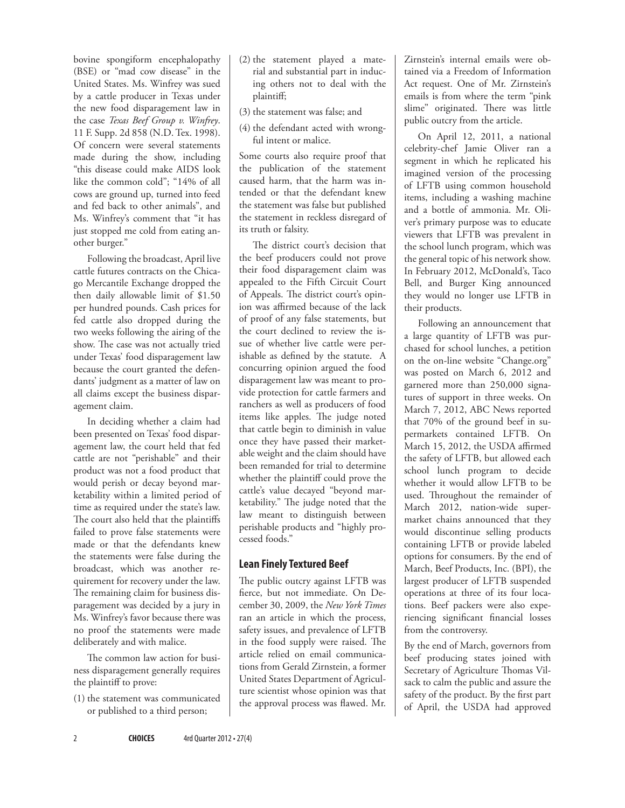bovine spongiform encephalopathy (BSE) or "mad cow disease" in the United States. Ms. Winfrey was sued by a cattle producer in Texas under the new food disparagement law in the case *Texas Beef Group v. Winfrey*. 11 F. Supp. 2d 858 (N.D. Tex. 1998). Of concern were several statements made during the show, including "this disease could make AIDS look like the common cold"; "14% of all cows are ground up, turned into feed and fed back to other animals", and Ms. Winfrey's comment that "it has just stopped me cold from eating another burger."

Following the broadcast, April live cattle futures contracts on the Chicago Mercantile Exchange dropped the then daily allowable limit of \$1.50 per hundred pounds. Cash prices for fed cattle also dropped during the two weeks following the airing of the show. The case was not actually tried under Texas' food disparagement law because the court granted the defendants' judgment as a matter of law on all claims except the business disparagement claim.

In deciding whether a claim had been presented on Texas' food disparagement law, the court held that fed cattle are not "perishable" and their product was not a food product that would perish or decay beyond marketability within a limited period of time as required under the state's law. The court also held that the plaintiffs failed to prove false statements were made or that the defendants knew the statements were false during the broadcast, which was another requirement for recovery under the law. The remaining claim for business disparagement was decided by a jury in Ms. Winfrey's favor because there was no proof the statements were made deliberately and with malice.

The common law action for business disparagement generally requires the plaintiff to prove:

(1) the statement was communicated or published to a third person;

- (2) the statement played a material and substantial part in inducing others not to deal with the plaintiff;
- (3) the statement was false; and
- (4) the defendant acted with wrongful intent or malice.

Some courts also require proof that the publication of the statement caused harm, that the harm was intended or that the defendant knew the statement was false but published the statement in reckless disregard of its truth or falsity.

The district court's decision that the beef producers could not prove their food disparagement claim was appealed to the Fifth Circuit Court of Appeals. The district court's opinion was affirmed because of the lack of proof of any false statements, but the court declined to review the issue of whether live cattle were perishable as defined by the statute. A concurring opinion argued the food disparagement law was meant to provide protection for cattle farmers and ranchers as well as producers of food items like apples. The judge noted that cattle begin to diminish in value once they have passed their marketable weight and the claim should have been remanded for trial to determine whether the plaintiff could prove the cattle's value decayed "beyond marketability." The judge noted that the law meant to distinguish between perishable products and "highly processed foods."

### **Lean Finely Textured Beef**

The public outcry against LFTB was fierce, but not immediate. On December 30, 2009, the *New York Times* ran an article in which the process, safety issues, and prevalence of LFTB in the food supply were raised. The article relied on email communications from Gerald Zirnstein, a former United States Department of Agriculture scientist whose opinion was that the approval process was flawed. Mr.

Zirnstein's internal emails were obtained via a Freedom of Information Act request. One of Mr. Zirnstein's emails is from where the term "pink slime" originated. There was little public outcry from the article.

On April 12, 2011, a national celebrity-chef Jamie Oliver ran a segment in which he replicated his imagined version of the processing of LFTB using common household items, including a washing machine and a bottle of ammonia. Mr. Oliver's primary purpose was to educate viewers that LFTB was prevalent in the school lunch program, which was the general topic of his network show. In February 2012, McDonald's, Taco Bell, and Burger King announced they would no longer use LFTB in their products.

Following an announcement that a large quantity of LFTB was purchased for school lunches, a petition on the on-line website "Change.org" was posted on March 6, 2012 and garnered more than 250,000 signatures of support in three weeks. On March 7, 2012, ABC News reported that 70% of the ground beef in supermarkets contained LFTB. On March 15, 2012, the USDA affirmed the safety of LFTB, but allowed each school lunch program to decide whether it would allow LFTB to be used. Throughout the remainder of March 2012, nation-wide supermarket chains announced that they would discontinue selling products containing LFTB or provide labeled options for consumers. By the end of March, Beef Products, Inc. (BPI), the largest producer of LFTB suspended operations at three of its four locations. Beef packers were also experiencing significant financial losses from the controversy.

By the end of March, governors from beef producing states joined with Secretary of Agriculture Thomas Vilsack to calm the public and assure the safety of the product. By the first part of April, the USDA had approved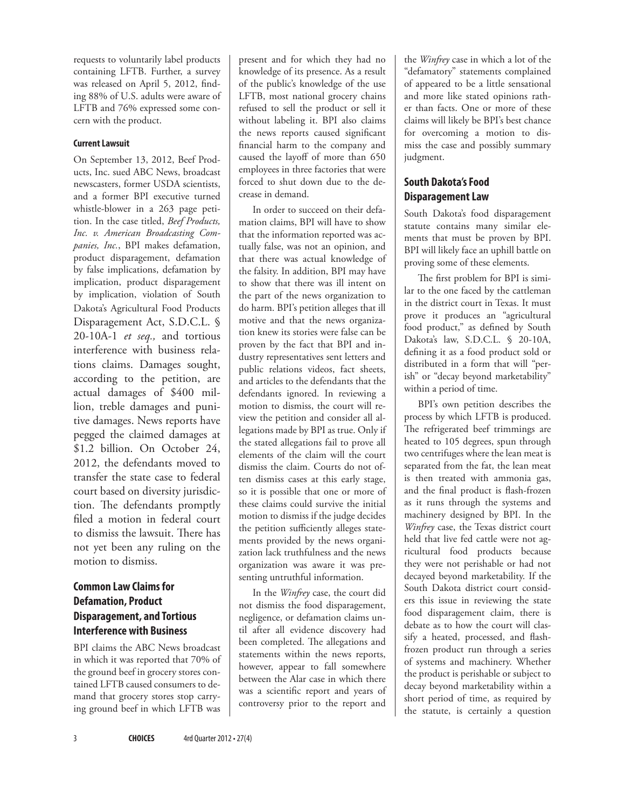requests to voluntarily label products containing LFTB. Further, a survey was released on April 5, 2012, finding 88% of U.S. adults were aware of LFTB and 76% expressed some concern with the product.

#### **Current Lawsuit**

On September 13, 2012, Beef Products, Inc. sued ABC News, broadcast newscasters, former USDA scientists, and a former BPI executive turned whistle-blower in a 263 page petition. In the case titled, *Beef Products, Inc. v. American Broadcasting Companies, Inc.*, BPI makes defamation, product disparagement, defamation by false implications, defamation by implication, product disparagement by implication, violation of South Dakota's Agricultural Food Products Disparagement Act, S.D.C.L. § 20-10A-1 *et seq.,* and tortious interference with business relations claims. Damages sought, according to the petition, are actual damages of \$400 million, treble damages and punitive damages. News reports have pegged the claimed damages at \$1.2 billion. On October 24, 2012, the defendants moved to transfer the state case to federal court based on diversity jurisdiction. The defendants promptly filed a motion in federal court to dismiss the lawsuit. There has not yet been any ruling on the motion to dismiss.

# **Common Law Claims for Defamation, Product Disparagement, and Tortious Interference with Business**

BPI claims the ABC News broadcast in which it was reported that 70% of the ground beef in grocery stores contained LFTB caused consumers to demand that grocery stores stop carrying ground beef in which LFTB was present and for which they had no knowledge of its presence. As a result of the public's knowledge of the use LFTB, most national grocery chains refused to sell the product or sell it without labeling it. BPI also claims the news reports caused significant financial harm to the company and caused the layoff of more than 650 employees in three factories that were forced to shut down due to the decrease in demand.

In order to succeed on their defamation claims, BPI will have to show that the information reported was actually false, was not an opinion, and that there was actual knowledge of the falsity. In addition, BPI may have to show that there was ill intent on the part of the news organization to do harm. BPI's petition alleges that ill motive and that the news organization knew its stories were false can be proven by the fact that BPI and industry representatives sent letters and public relations videos, fact sheets, and articles to the defendants that the defendants ignored. In reviewing a motion to dismiss, the court will review the petition and consider all allegations made by BPI as true. Only if the stated allegations fail to prove all elements of the claim will the court dismiss the claim. Courts do not often dismiss cases at this early stage, so it is possible that one or more of these claims could survive the initial motion to dismiss if the judge decides the petition sufficiently alleges statements provided by the news organization lack truthfulness and the news organization was aware it was presenting untruthful information.

In the *Winfrey* case, the court did not dismiss the food disparagement, negligence, or defamation claims until after all evidence discovery had been completed. The allegations and statements within the news reports, however, appear to fall somewhere between the Alar case in which there was a scientific report and years of controversy prior to the report and

the *Winfrey* case in which a lot of the "defamatory" statements complained of appeared to be a little sensational and more like stated opinions rather than facts. One or more of these claims will likely be BPI's best chance for overcoming a motion to dismiss the case and possibly summary judgment.

## **South Dakota's Food Disparagement Law**

South Dakota's food disparagement statute contains many similar elements that must be proven by BPI. BPI will likely face an uphill battle on proving some of these elements.

The first problem for BPI is similar to the one faced by the cattleman in the district court in Texas. It must prove it produces an "agricultural food product," as defined by South Dakota's law, S.D.C.L. § 20-10A, defining it as a food product sold or distributed in a form that will "perish" or "decay beyond marketability" within a period of time.

BPI's own petition describes the process by which LFTB is produced. The refrigerated beef trimmings are heated to 105 degrees, spun through two centrifuges where the lean meat is separated from the fat, the lean meat is then treated with ammonia gas, and the final product is flash-frozen as it runs through the systems and machinery designed by BPI. In the *Winfrey* case, the Texas district court held that live fed cattle were not agricultural food products because they were not perishable or had not decayed beyond marketability. If the South Dakota district court considers this issue in reviewing the state food disparagement claim, there is debate as to how the court will classify a heated, processed, and flashfrozen product run through a series of systems and machinery. Whether the product is perishable or subject to decay beyond marketability within a short period of time, as required by the statute, is certainly a question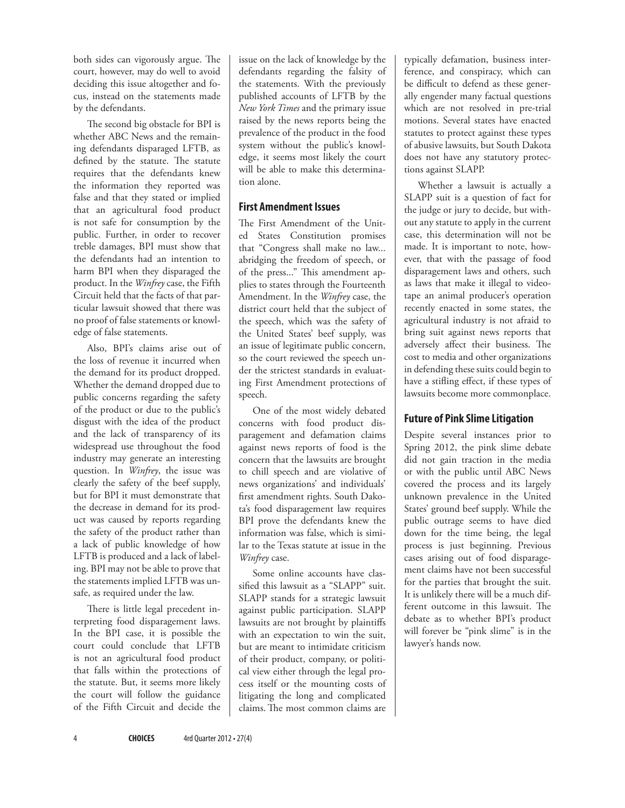both sides can vigorously argue. The court, however, may do well to avoid deciding this issue altogether and focus, instead on the statements made by the defendants.

The second big obstacle for BPI is whether ABC News and the remaining defendants disparaged LFTB, as defined by the statute. The statute requires that the defendants knew the information they reported was false and that they stated or implied that an agricultural food product is not safe for consumption by the public. Further, in order to recover treble damages, BPI must show that the defendants had an intention to harm BPI when they disparaged the product. In the *Winfrey* case, the Fifth Circuit held that the facts of that particular lawsuit showed that there was no proof of false statements or knowledge of false statements.

Also, BPI's claims arise out of the loss of revenue it incurred when the demand for its product dropped. Whether the demand dropped due to public concerns regarding the safety of the product or due to the public's disgust with the idea of the product and the lack of transparency of its widespread use throughout the food industry may generate an interesting question. In *Winfrey*, the issue was clearly the safety of the beef supply, but for BPI it must demonstrate that the decrease in demand for its product was caused by reports regarding the safety of the product rather than a lack of public knowledge of how LFTB is produced and a lack of labeling. BPI may not be able to prove that the statements implied LFTB was unsafe, as required under the law.

There is little legal precedent interpreting food disparagement laws. In the BPI case, it is possible the court could conclude that LFTB is not an agricultural food product that falls within the protections of the statute. But, it seems more likely the court will follow the guidance of the Fifth Circuit and decide the issue on the lack of knowledge by the defendants regarding the falsity of the statements. With the previously published accounts of LFTB by the *New York Times* and the primary issue raised by the news reports being the prevalence of the product in the food system without the public's knowledge, it seems most likely the court will be able to make this determination alone.

#### **First Amendment Issues**

The First Amendment of the United States Constitution promises that "Congress shall make no law... abridging the freedom of speech, or of the press..." This amendment applies to states through the Fourteenth Amendment. In the *Winfrey* case, the district court held that the subject of the speech, which was the safety of the United States' beef supply, was an issue of legitimate public concern, so the court reviewed the speech under the strictest standards in evaluating First Amendment protections of speech.

One of the most widely debated concerns with food product disparagement and defamation claims against news reports of food is the concern that the lawsuits are brought to chill speech and are violative of news organizations' and individuals' first amendment rights. South Dakota's food disparagement law requires BPI prove the defendants knew the information was false, which is similar to the Texas statute at issue in the *Winfrey* case.

Some online accounts have classified this lawsuit as a "SLAPP" suit. SLAPP stands for a strategic lawsuit against public participation. SLAPP lawsuits are not brought by plaintiffs with an expectation to win the suit, but are meant to intimidate criticism of their product, company, or political view either through the legal process itself or the mounting costs of litigating the long and complicated claims.The most common claims are

typically defamation, business interference, and conspiracy, which can be difficult to defend as these generally engender many factual questions which are not resolved in pre-trial motions. Several states have enacted statutes to protect against these types of abusive lawsuits, but South Dakota does not have any statutory protections against SLAPP.

Whether a lawsuit is actually a SLAPP suit is a question of fact for the judge or jury to decide, but without any statute to apply in the current case, this determination will not be made. It is important to note, however, that with the passage of food disparagement laws and others, such as laws that make it illegal to videotape an animal producer's operation recently enacted in some states, the agricultural industry is not afraid to bring suit against news reports that adversely affect their business. The cost to media and other organizations in defending these suits could begin to have a stifling effect, if these types of lawsuits become more commonplace.

# **Future of Pink Slime Litigation**

Despite several instances prior to Spring 2012, the pink slime debate did not gain traction in the media or with the public until ABC News covered the process and its largely unknown prevalence in the United States' ground beef supply. While the public outrage seems to have died down for the time being, the legal process is just beginning. Previous cases arising out of food disparagement claims have not been successful for the parties that brought the suit. It is unlikely there will be a much different outcome in this lawsuit. The debate as to whether BPI's product will forever be "pink slime" is in the lawyer's hands now.